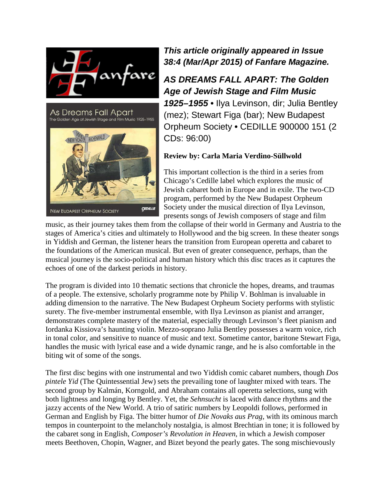



*This article originally appeared in Issue 38:4 (Mar/Apr 2015) of Fanfare Magazine.*

## *AS DREAMS FALL APART: The Golden Age of Jewish Stage and Film Music*

*1925–1955* **•** Ilya Levinson, dir; Julia Bentley (mez); Stewart Figa (bar); New Budapest Orpheum Society **•** CEDILLE 900000 151 (2 CDs: 96:00)

## **Review by: Carla Maria Verdino-Süllwold**

This important collection is the third in a series from Chicago's Cedille label which explores the music of Jewish cabaret both in Europe and in exile. The two-CD program, performed by the New Budapest Orpheum Society under the musical direction of Ilya Levinson, presents songs of Jewish composers of stage and film

music, as their journey takes them from the collapse of their world in Germany and Austria to the stages of America's cities and ultimately to Hollywood and the big screen. In these theater songs in Yiddish and German, the listener hears the transition from European operetta and cabaret to the foundations of the American musical. But even of greater consequence, perhaps, than the musical journey is the socio-political and human history which this disc traces as it captures the echoes of one of the darkest periods in history.

The program is divided into 10 thematic sections that chronicle the hopes, dreams, and traumas of a people. The extensive, scholarly programme note by Philip V. Bohlman is invaluable in adding dimension to the narrative. The New Budapest Orpheum Society performs with stylistic surety. The five-member instrumental ensemble, with Ilya Levinson as pianist and arranger, demonstrates complete mastery of the material, especially through Levinson's fleet pianism and Iordanka Kissiova's haunting violin. Mezzo-soprano Julia Bentley possesses a warm voice, rich in tonal color, and sensitive to nuance of music and text. Sometime cantor, baritone Stewart Figa, handles the music with lyrical ease and a wide dynamic range, and he is also comfortable in the biting wit of some of the songs.

The first disc begins with one instrumental and two Yiddish comic cabaret numbers, though *Dos pintele Yid* (The Quintessential Jew) sets the prevailing tone of laughter mixed with tears. The second group by Kalmán, Korngold, and Abraham contains all operetta selections, sung with both lightness and longing by Bentley. Yet, the *Sehnsucht* is laced with dance rhythms and the jazzy accents of the New World. A trio of satiric numbers by Leopoldi follows, performed in German and English by Figa. The bitter humor of *Die Novaks aus Prag*, with its ominous march tempos in counterpoint to the melancholy nostalgia, is almost Brechtian in tone; it is followed by the cabaret song in English, *Composer's Revolution in Heaven*, in which a Jewish composer meets Beethoven, Chopin, Wagner, and Bizet beyond the pearly gates. The song mischievously